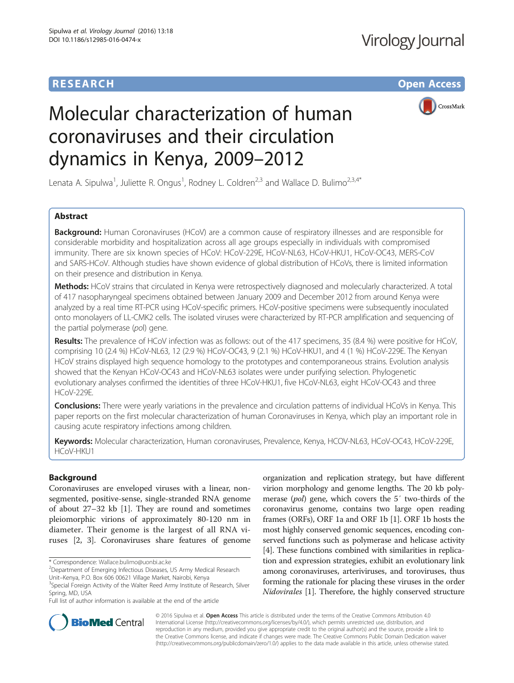# **RESEARCH CHE Open Access**



# Molecular characterization of human coronaviruses and their circulation dynamics in Kenya, 2009–2012

Lenata A. Sipulwa<sup>1</sup>, Juliette R. Ongus<sup>1</sup>, Rodney L. Coldren<sup>2,3</sup> and Wallace D. Bulimo<sup>2,3,4\*</sup>

## Abstract

**Background:** Human Coronaviruses (HCoV) are a common cause of respiratory illnesses and are responsible for considerable morbidity and hospitalization across all age groups especially in individuals with compromised immunity. There are six known species of HCoV: HCoV-229E, HCoV-NL63, HCoV-HKU1, HCoV-OC43, MERS-CoV and SARS-HCoV. Although studies have shown evidence of global distribution of HCoVs, there is limited information on their presence and distribution in Kenya.

Methods: HCoV strains that circulated in Kenya were retrospectively diagnosed and molecularly characterized. A total of 417 nasopharyngeal specimens obtained between January 2009 and December 2012 from around Kenya were analyzed by a real time RT-PCR using HCoV-specific primers. HCoV-positive specimens were subsequently inoculated onto monolayers of LL-CMK2 cells. The isolated viruses were characterized by RT-PCR amplification and sequencing of the partial polymerase (pol) gene.

Results: The prevalence of HCoV infection was as follows: out of the 417 specimens, 35 (8.4 %) were positive for HCoV, comprising 10 (2.4 %) HCoV-NL63, 12 (2.9 %) HCoV-OC43, 9 (2.1 %) HCoV-HKU1, and 4 (1 %) HCoV-229E. The Kenyan HCoV strains displayed high sequence homology to the prototypes and contemporaneous strains. Evolution analysis showed that the Kenyan HCoV-OC43 and HCoV-NL63 isolates were under purifying selection. Phylogenetic evolutionary analyses confirmed the identities of three HCoV-HKU1, five HCoV-NL63, eight HCoV-OC43 and three HCoV-229E.

Conclusions: There were yearly variations in the prevalence and circulation patterns of individual HCoVs in Kenya. This paper reports on the first molecular characterization of human Coronaviruses in Kenya, which play an important role in causing acute respiratory infections among children.

Keywords: Molecular characterization, Human coronaviruses, Prevalence, Kenya, HCOV-NL63, HCoV-OC43, HCoV-229E, HCoV-HKU1

## Background

Coronaviruses are enveloped viruses with a linear, nonsegmented, positive-sense, single-stranded RNA genome of about 27–32 kb [\[1](#page-7-0)]. They are round and sometimes pleiomorphic virions of approximately 80-120 nm in diameter. Their genome is the largest of all RNA viruses [\[2, 3\]](#page-7-0). Coronaviruses share features of genome

organization and replication strategy, but have different virion morphology and genome lengths. The 20 kb polymerase (pol) gene, which covers the 5′ two-thirds of the coronavirus genome, contains two large open reading frames (ORFs), ORF 1a and ORF 1b [\[1](#page-7-0)]. ORF 1b hosts the most highly conserved genomic sequences, encoding conserved functions such as polymerase and helicase activity [[4\]](#page-7-0). These functions combined with similarities in replication and expression strategies, exhibit an evolutionary link among coronaviruses, arteriviruses, and toroviruses, thus forming the rationale for placing these viruses in the order Nidovirales [[1](#page-7-0)]. Therefore, the highly conserved structure



© 2016 Sipulwa et al. Open Access This article is distributed under the terms of the Creative Commons Attribution 4.0 International License [\(http://creativecommons.org/licenses/by/4.0/](http://creativecommons.org/licenses/by/4.0/)), which permits unrestricted use, distribution, and reproduction in any medium, provided you give appropriate credit to the original author(s) and the source, provide a link to the Creative Commons license, and indicate if changes were made. The Creative Commons Public Domain Dedication waiver [\(http://creativecommons.org/publicdomain/zero/1.0/](http://creativecommons.org/publicdomain/zero/1.0/)) applies to the data made available in this article, unless otherwise stated.

<sup>\*</sup> Correspondence: [Wallace.bulimo@uonbi.ac.ke](mailto:Wallace.bulimo@uonbi.ac.ke) <sup>2</sup>

<sup>&</sup>lt;sup>2</sup> Department of Emerging Infectious Diseases, US Army Medical Research Unit–Kenya, P.O. Box 606 00621 Village Market, Nairobi, Kenya <sup>3</sup>

<sup>&</sup>lt;sup>3</sup>Special Foreign Activity of the Walter Reed Army Institute of Research, Silver Spring, MD, USA

Full list of author information is available at the end of the article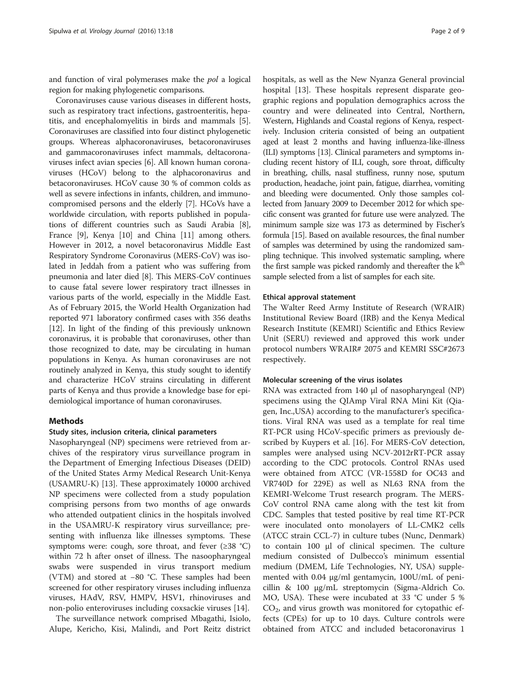and function of viral polymerases make the pol a logical region for making phylogenetic comparisons.

Coronaviruses cause various diseases in different hosts, such as respiratory tract infections, gastroenteritis, hepatitis, and encephalomyelitis in birds and mammals [\[5](#page-7-0)]. Coronaviruses are classified into four distinct phylogenetic groups. Whereas alphacoronaviruses, betacoronaviruses and gammacoronaviruses infect mammals, deltacoronaviruses infect avian species [\[6](#page-7-0)]. All known human coronaviruses (HCoV) belong to the alphacoronavirus and betacoronaviruses. HCoV cause 30 % of common colds as well as severe infections in infants, children, and immunocompromised persons and the elderly [\[7\]](#page-7-0). HCoVs have a worldwide circulation, with reports published in populations of different countries such as Saudi Arabia [[8](#page-7-0)], France [\[9](#page-7-0)], Kenya [\[10\]](#page-8-0) and China [\[11\]](#page-8-0) among others. However in 2012, a novel betacoronavirus Middle East Respiratory Syndrome Coronavirus (MERS-CoV) was isolated in Jeddah from a patient who was suffering from pneumonia and later died [[8](#page-7-0)]. This MERS-CoV continues to cause fatal severe lower respiratory tract illnesses in various parts of the world, especially in the Middle East. As of February 2015, the World Health Organization had reported 971 laboratory confirmed cases with 356 deaths [[12](#page-8-0)]. In light of the finding of this previously unknown coronavirus, it is probable that coronaviruses, other than those recognized to date, may be circulating in human populations in Kenya. As human coronaviruses are not routinely analyzed in Kenya, this study sought to identify and characterize HCoV strains circulating in different parts of Kenya and thus provide a knowledge base for epidemiological importance of human coronaviruses.

## Methods

## Study sites, inclusion criteria, clinical parameters

Nasopharyngeal (NP) specimens were retrieved from archives of the respiratory virus surveillance program in the Department of Emerging Infectious Diseases (DEID) of the United States Army Medical Research Unit-Kenya (USAMRU-K) [\[13\]](#page-8-0). These approximately 10000 archived NP specimens were collected from a study population comprising persons from two months of age onwards who attended outpatient clinics in the hospitals involved in the USAMRU-K respiratory virus surveillance; presenting with influenza like illnesses symptoms. These symptoms were: cough, sore throat, and fever  $(\geq 38 \degree C)$ within 72 h after onset of illness. The nasoopharyngeal swabs were suspended in virus transport medium (VTM) and stored at −80 °C. These samples had been screened for other respiratory viruses including influenza viruses, HAdV, RSV, HMPV, HSV1, rhinoviruses and non-polio enteroviruses including coxsackie viruses [[14\]](#page-8-0).

The surveillance network comprised Mbagathi, Isiolo, Alupe, Kericho, Kisi, Malindi, and Port Reitz district hospitals, as well as the New Nyanza General provincial hospital [\[13\]](#page-8-0). These hospitals represent disparate geographic regions and population demographics across the country and were delineated into Central, Northern, Western, Highlands and Coastal regions of Kenya, respectively. Inclusion criteria consisted of being an outpatient aged at least 2 months and having influenza-like-illness (ILI) symptoms [\[13\]](#page-8-0). Clinical parameters and symptoms including recent history of ILI, cough, sore throat, difficulty in breathing, chills, nasal stuffiness, runny nose, sputum production, headache, joint pain, fatigue, diarrhea, vomiting and bleeding were documented. Only those samples collected from January 2009 to December 2012 for which specific consent was granted for future use were analyzed. The minimum sample size was 173 as determined by Fischer's formula [\[15](#page-8-0)]. Based on available resources, the final number of samples was determined by using the randomized sampling technique. This involved systematic sampling, where the first sample was picked randomly and thereafter the k<sup>th</sup> sample selected from a list of samples for each site.

## Ethical approval statement

The Walter Reed Army Institute of Research (WRAIR) Institutional Review Board (IRB) and the Kenya Medical Research Institute (KEMRI) Scientific and Ethics Review Unit (SERU) reviewed and approved this work under protocol numbers WRAIR# 2075 and KEMRI SSC#2673 respectively.

### Molecular screening of the virus isolates

RNA was extracted from 140 μl of nasopharyngeal (NP) specimens using the QIAmp Viral RNA Mini Kit (Qiagen, Inc.,USA) according to the manufacturer's specifications. Viral RNA was used as a template for real time RT-PCR using HCoV-specific primers as previously described by Kuypers et al. [[16\]](#page-8-0). For MERS-CoV detection, samples were analysed using NCV-2012rRT-PCR assay according to the CDC protocols. Control RNAs used were obtained from ATCC (VR-1558D for OC43 and VR740D for 229E) as well as NL63 RNA from the KEMRI-Welcome Trust research program. The MERS-CoV control RNA came along with the test kit from CDC. Samples that tested positive by real time RT-PCR were inoculated onto monolayers of LL-CMK2 cells (ATCC strain CCL-7) in culture tubes (Nunc, Denmark) to contain 100 μl of clinical specimen. The culture medium consisted of Dulbecco's minimum essential medium (DMEM, Life Technologies, NY, USA) supplemented with 0.04 μg/ml gentamycin, 100U/mL of penicillin & 100 μg/mL streptomycin (Sigma-Aldrich Co. MO, USA). These were incubated at 33 °C under 5 %  $CO<sub>2</sub>$ , and virus growth was monitored for cytopathic effects (CPEs) for up to 10 days. Culture controls were obtained from ATCC and included betacoronavirus 1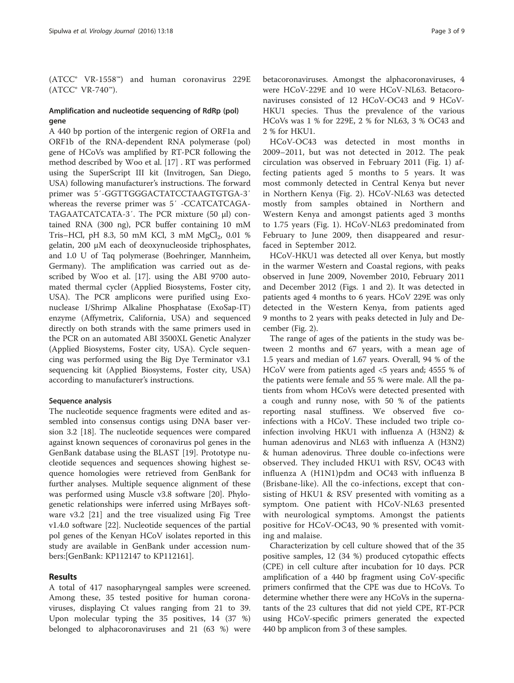(ATCC® VR-1558™) and human coronavirus 229E (ATCC® VR-740™).

## Amplification and nucleotide sequencing of RdRp (pol) gene

A 440 bp portion of the intergenic region of ORF1a and ORF1b of the RNA-dependent RNA polymerase (pol) gene of HCoVs was amplified by RT-PCR following the method described by Woo et al. [[17](#page-8-0)] . RT was performed using the SuperScript III kit (Invitrogen, San Diego, USA) following manufacturer's instructions. The forward primer was 5′-GGTTGGGACTATCCTAAGTGTGA-3′ whereas the reverse primer was 5′ -CCATCATCAGA-TAGAATCATCATA-3′. The PCR mixture (50 μl) contained RNA (300 ng), PCR buffer containing 10 mM Tris-HCl, pH 8.3, 50 mM KCl, 3 mM MgCl<sub>2</sub>, 0.01 % gelatin, 200 μM each of deoxynucleoside triphosphates, and 1.0 U of Taq polymerase (Boehringer, Mannheim, Germany). The amplification was carried out as described by Woo et al. [\[17](#page-8-0)]. using the ABI 9700 automated thermal cycler (Applied Biosystems, Foster city, USA). The PCR amplicons were purified using Exonuclease I/Shrimp Alkaline Phosphatase (ExoSap-IT) enzyme (Affymetrix, California, USA) and sequenced directly on both strands with the same primers used in the PCR on an automated ABI 3500XL Genetic Analyzer (Applied Biosystems, Foster city, USA). Cycle sequencing was performed using the Big Dye Terminator v3.1 sequencing kit (Applied Biosystems, Foster city, USA) according to manufacturer's instructions.

## Sequence analysis

The nucleotide sequence fragments were edited and assembled into consensus contigs using DNA baser version 3.2 [\[18](#page-8-0)]. The nucleotide sequences were compared against known sequences of coronavirus pol genes in the GenBank database using the BLAST [[19](#page-8-0)]. Prototype nucleotide sequences and sequences showing highest sequence homologies were retrieved from GenBank for further analyses. Multiple sequence alignment of these was performed using Muscle v3.8 software [[20\]](#page-8-0). Phylogenetic relationships were inferred using MrBayes software v3.2 [[21\]](#page-8-0) and the tree visualized using Fig Tree v1.4.0 software [[22\]](#page-8-0). Nucleotide sequences of the partial pol genes of the Kenyan HCoV isolates reported in this study are available in GenBank under accession numbers:[GenBank: KP112147 to KP112161].

## Results

A total of 417 nasopharyngeal samples were screened. Among these, 35 tested positive for human coronaviruses, displaying Ct values ranging from 21 to 39. Upon molecular typing the 35 positives, 14 (37 %) belonged to alphacoronaviruses and 21 (63 %) were betacoronaviruses. Amongst the alphacoronaviruses, 4 were HCoV-229E and 10 were HCoV-NL63. Betacoronaviruses consisted of 12 HCoV-OC43 and 9 HCoV-HKU1 species. Thus the prevalence of the various HCoVs was 1 % for 229E, 2 % for NL63, 3 % OC43 and 2 % for HKU1.

HCoV-OC43 was detected in most months in 2009–2011, but was not detected in 2012. The peak circulation was observed in February 2011 (Fig. [1\)](#page-3-0) affecting patients aged 5 months to 5 years. It was most commonly detected in Central Kenya but never in Northern Kenya (Fig. [2](#page-3-0)). HCoV-NL63 was detected mostly from samples obtained in Northern and Western Kenya and amongst patients aged 3 months to 1.75 years (Fig. [1](#page-3-0)). HCoV-NL63 predominated from February to June 2009, then disappeared and resurfaced in September 2012.

HCoV-HKU1 was detected all over Kenya, but mostly in the warmer Western and Coastal regions, with peaks observed in June 2009, November 2010, February 2011 and December 2012 (Figs. [1](#page-3-0) and [2\)](#page-3-0). It was detected in patients aged 4 months to 6 years. HCoV 229E was only detected in the Western Kenya, from patients aged 9 months to 2 years with peaks detected in July and December (Fig. [2](#page-3-0)).

The range of ages of the patients in the study was between 2 months and 67 years, with a mean age of 1.5 years and median of 1.67 years. Overall, 94 % of the HCoV were from patients aged <5 years and; 4555 % of the patients were female and 55 % were male. All the patients from whom HCoVs were detected presented with a cough and runny nose, with 50 % of the patients reporting nasal stuffiness. We observed five coinfections with a HCoV. These included two triple coinfection involving HKU1 with influenza A (H3N2) & human adenovirus and NL63 with influenza A (H3N2) & human adenovirus. Three double co-infections were observed. They included HKU1 with RSV, OC43 with influenza A (H1N1)pdm and OC43 with influenza B (Brisbane-like). All the co-infections, except that consisting of HKU1 & RSV presented with vomiting as a symptom. One patient with HCoV-NL63 presented with neurological symptoms. Amongst the patients positive for HCoV-OC43, 90 % presented with vomiting and malaise.

Characterization by cell culture showed that of the 35 positive samples, 12 (34 %) produced cytopathic effects (CPE) in cell culture after incubation for 10 days. PCR amplification of a 440 bp fragment using CoV-specific primers confirmed that the CPE was due to HCoVs. To determine whether there were any HCoVs in the supernatants of the 23 cultures that did not yield CPE, RT-PCR using HCoV-specific primers generated the expected 440 bp amplicon from 3 of these samples.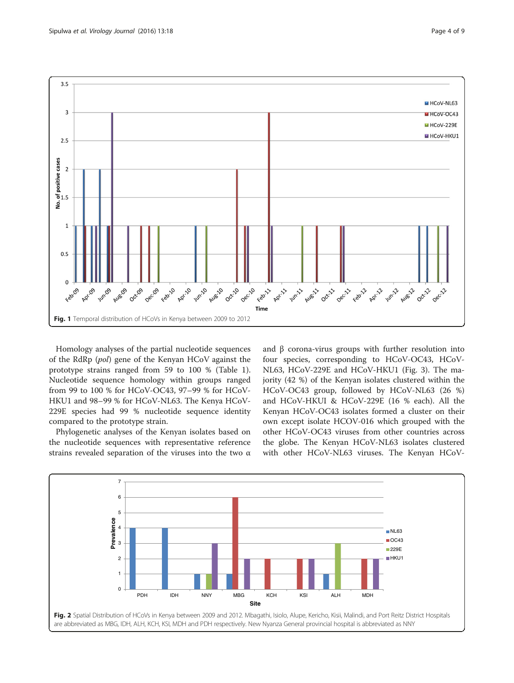<span id="page-3-0"></span>

Homology analyses of the partial nucleotide sequences of the RdRp (pol) gene of the Kenyan HCoV against the prototype strains ranged from 59 to 100 % (Table [1](#page-4-0)). Nucleotide sequence homology within groups ranged from 99 to 100 % for HCoV-OC43, 97–99 % for HCoV-HKU1 and 98–99 % for HCoV-NL63. The Kenya HCoV-229E species had 99 % nucleotide sequence identity compared to the prototype strain.

Phylogenetic analyses of the Kenyan isolates based on the nucleotide sequences with representative reference strains revealed separation of the viruses into the two α and  $β$  corona-virus groups with further resolution into four species, corresponding to HCoV-OC43, HCoV-NL63, HCoV-229E and HCoV-HKU1 (Fig. [3\)](#page-6-0). The majority (42 %) of the Kenyan isolates clustered within the HCoV-OC43 group, followed by HCoV-NL63 (26 %) and HCoV-HKUI & HCoV-229E (16 % each). All the Kenyan HCoV-OC43 isolates formed a cluster on their own except isolate HCOV-016 which grouped with the other HCoV-OC43 viruses from other countries across the globe. The Kenyan HCoV-NL63 isolates clustered with other HCoV-NL63 viruses. The Kenyan HCoV-

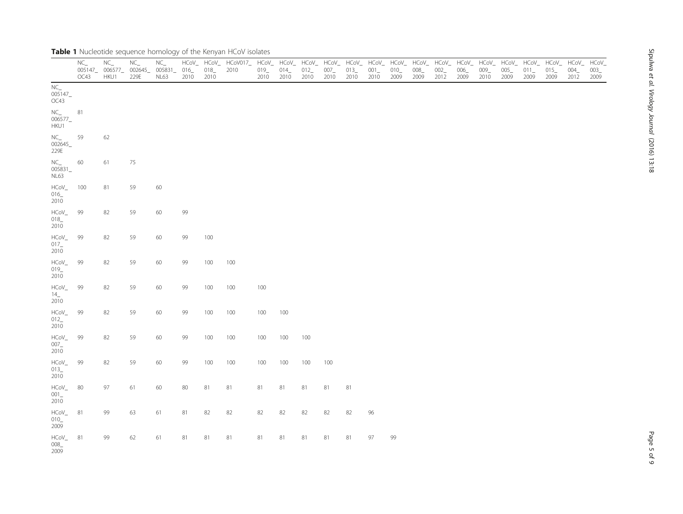<span id="page-4-0"></span>

|                              | $NC_{-}$<br>OC43 | $NC_{-}$<br>005147_ 006577_ 002645_ 005831_ 016_<br>HKU1 | $NC_{-}$<br>229E | $NC_{-}$<br><b>NL63</b> | 2010 | $018_{-}$<br>2010 | HCoV_ HCoV_ HCoV017_ HCoV_ HCoV_ HCoV_ HCoV_ HCoV_ HCoV_ HCoV_ HCoV_ HCoV_ HCoV_ HCoV_ HCoV_ HCoV_ HCoV_ HCoV_ HCoV_<br>2010 | 019<br>2010 | 014<br>2010 | 012<br>2010 | $007_{-}$<br>2010 | 013<br>2010 | 001<br>2010 | 010<br>2009 | 008<br>2009 | 002<br>2012 | 006<br>2009 | $009 -$<br>2010 | $005 -$<br>2009 | 011<br>2009 | 015<br>2009 | 004<br>2012 | $003_{-}$<br>2009 |
|------------------------------|------------------|----------------------------------------------------------|------------------|-------------------------|------|-------------------|------------------------------------------------------------------------------------------------------------------------------|-------------|-------------|-------------|-------------------|-------------|-------------|-------------|-------------|-------------|-------------|-----------------|-----------------|-------------|-------------|-------------|-------------------|
| $NC_{-}$<br>005147<br>OC43   |                  |                                                          |                  |                         |      |                   |                                                                                                                              |             |             |             |                   |             |             |             |             |             |             |                 |                 |             |             |             |                   |
| $NC_{-}$<br>006577_<br>HKU1  | 81               |                                                          |                  |                         |      |                   |                                                                                                                              |             |             |             |                   |             |             |             |             |             |             |                 |                 |             |             |             |                   |
| $NC_{-}$<br>002645<br>229E   | 59               | 62                                                       |                  |                         |      |                   |                                                                                                                              |             |             |             |                   |             |             |             |             |             |             |                 |                 |             |             |             |                   |
| $NC_{-}$<br>005831<br>NL63   | 60               | 61                                                       | 75               |                         |      |                   |                                                                                                                              |             |             |             |                   |             |             |             |             |             |             |                 |                 |             |             |             |                   |
| $HCoV$ 100<br>016<br>2010    |                  | 81                                                       | 59               | 60                      |      |                   |                                                                                                                              |             |             |             |                   |             |             |             |             |             |             |                 |                 |             |             |             |                   |
| $HCoV_$<br>018<br>2010       | 99               | 82                                                       | 59               | 60                      | 99   |                   |                                                                                                                              |             |             |             |                   |             |             |             |             |             |             |                 |                 |             |             |             |                   |
| $HCoV_$<br>$017_{-}$<br>2010 | 99               | 82                                                       | 59               | 60                      | 99   | 100               |                                                                                                                              |             |             |             |                   |             |             |             |             |             |             |                 |                 |             |             |             |                   |
| $HCoV_$<br>019<br>2010       | 99               | 82                                                       | 59               | 60                      | 99   | 100               | 100                                                                                                                          |             |             |             |                   |             |             |             |             |             |             |                 |                 |             |             |             |                   |
| $HCoV_$<br>14<br>2010        | 99               | 82                                                       | 59               | 60                      | 99   | 100               | 100                                                                                                                          | 100         |             |             |                   |             |             |             |             |             |             |                 |                 |             |             |             |                   |
| HCoV_<br>012<br>2010         | 99               | 82                                                       | 59               | 60                      | 99   | 100               | 100                                                                                                                          | 100         | 100         |             |                   |             |             |             |             |             |             |                 |                 |             |             |             |                   |
| $HCoV_$<br>007<br>2010       | 99               | 82                                                       | 59               | 60                      | 99   | 100               | 100                                                                                                                          | 100         | 100         | 100         |                   |             |             |             |             |             |             |                 |                 |             |             |             |                   |
| HCoV_<br>013<br>2010         | 99               | 82                                                       | 59               | 60                      | 99   | 100               | 100                                                                                                                          | 100         | 100         | 100         | 100               |             |             |             |             |             |             |                 |                 |             |             |             |                   |
| $HCoV_$<br>001<br>2010       | 80               | 97                                                       | 61               | 60                      | 80   | 81                | $81\,$                                                                                                                       | 81          | 81          | 81          | $81\,$            | 81          |             |             |             |             |             |                 |                 |             |             |             |                   |
| $HCoV$ 81<br>010<br>2009     |                  | 99                                                       | 63               | 61                      | 81   | 82                | 82                                                                                                                           | 82          | 82          | 82          | 82                | 82          | 96          |             |             |             |             |                 |                 |             |             |             |                   |
| $HCoV$ 81<br>008<br>2009     |                  | 99                                                       | 62               | 61                      | 81   | 81                | 81                                                                                                                           | 81          | 81          | 81          | 81                | 81          | 97          | 99          |             |             |             |                 |                 |             |             |             |                   |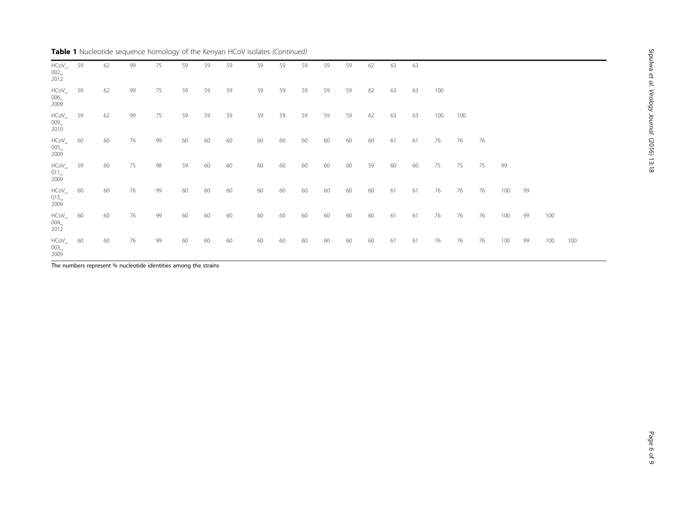| HCoV_<br>002<br>2012       | 59 | 62 | 99 | 75 | 59 | 59 | 59 | 59 | 59 | 59 | 59 | 59 | 62 | 63 | 63 |     |     |    |     |    |     |     |
|----------------------------|----|----|----|----|----|----|----|----|----|----|----|----|----|----|----|-----|-----|----|-----|----|-----|-----|
| $HCoV_$<br>006<br>2009     | 59 | 62 | 99 | 75 | 59 | 59 | 59 | 59 | 59 | 59 | 59 | 59 | 62 | 63 | 63 | 100 |     |    |     |    |     |     |
| $HCoV_$<br>009<br>2010     | 59 | 62 | 99 | 75 | 59 | 59 | 59 | 59 | 59 | 59 | 59 | 59 | 62 | 63 | 63 | 100 | 100 |    |     |    |     |     |
| $HCoV_$<br>$005 -$<br>2009 | 60 | 60 | 76 | 99 | 60 | 60 | 60 | 60 | 60 | 60 | 60 | 60 | 60 | 61 | 61 | 76  | 76  | 76 |     |    |     |     |
| HCoV_<br>011<br>2009       | 59 | 60 | 75 | 98 | 59 | 60 | 60 | 60 | 60 | 60 | 60 | 60 | 59 | 60 | 60 | 75  | 75  | 75 | 99  |    |     |     |
| $HCoV_$<br>015<br>2009     | 60 | 60 | 76 | 99 | 60 | 60 | 60 | 60 | 60 | 60 | 60 | 60 | 60 | 61 | 61 | 76  | 76  | 76 | 100 | 99 |     |     |
| $HCoV_$<br>004<br>2012     | 60 | 60 | 76 | 99 | 60 | 60 | 60 | 60 | 60 | 60 | 60 | 60 | 60 | 61 | 61 | 76  | 76  | 76 | 100 | 99 | 100 |     |
| $HCoV_$<br>003<br>2009     | 60 | 60 | 76 | 99 | 60 | 60 | 60 | 60 | 60 | 60 | 60 | 60 | 60 | 61 | 61 | 76  | 76  | 76 | 100 | 99 | 100 | 100 |

The numbers represent % nucleotide identities among the strains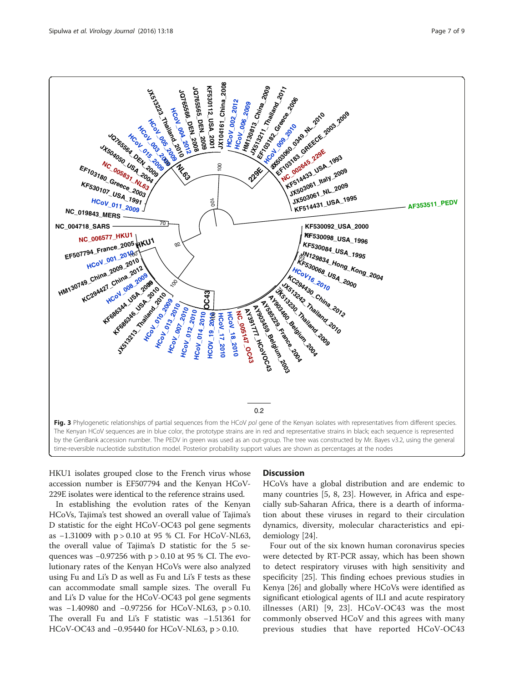<span id="page-6-0"></span>

HKU1 isolates grouped close to the French virus whose accession number is EF507794 and the Kenyan HCoV-229E isolates were identical to the reference strains used.

In establishing the evolution rates of the Kenyan HCoVs, Tajima's test showed an overall value of Tajima's D statistic for the eight HCoV-OC43 pol gene segments as −1.31009 with p > 0.10 at 95 % CI. For HCoV-NL63, the overall value of Tajima's D statistic for the 5 sequences was −0.97256 with p > 0.10 at 95 % CI. The evolutionary rates of the Kenyan HCoVs were also analyzed using Fu and Li's D as well as Fu and Li's F tests as these can accommodate small sample sizes. The overall Fu and Li's D value for the HCoV-OC43 pol gene segments was −1.40980 and −0.97256 for HCoV-NL63, p > 0.10. The overall Fu and Li's F statistic was −1.51361 for HCoV-OC43 and −0.95440 for HCoV-NL63, p > 0.10.

## **Discussion**

HCoVs have a global distribution and are endemic to many countries [[5, 8](#page-7-0), [23](#page-8-0)]. However, in Africa and especially sub-Saharan Africa, there is a dearth of information about these viruses in regard to their circulation dynamics, diversity, molecular characteristics and epidemiology [\[24\]](#page-8-0).

Four out of the six known human coronavirus species were detected by RT-PCR assay, which has been shown to detect respiratory viruses with high sensitivity and specificity [[25](#page-8-0)]. This finding echoes previous studies in Kenya [\[26](#page-8-0)] and globally where HCoVs were identified as significant etiological agents of ILI and acute respiratory illnesses (ARI) [[9](#page-7-0), [23\]](#page-8-0). HCoV-OC43 was the most commonly observed HCoV and this agrees with many previous studies that have reported HCoV-OC43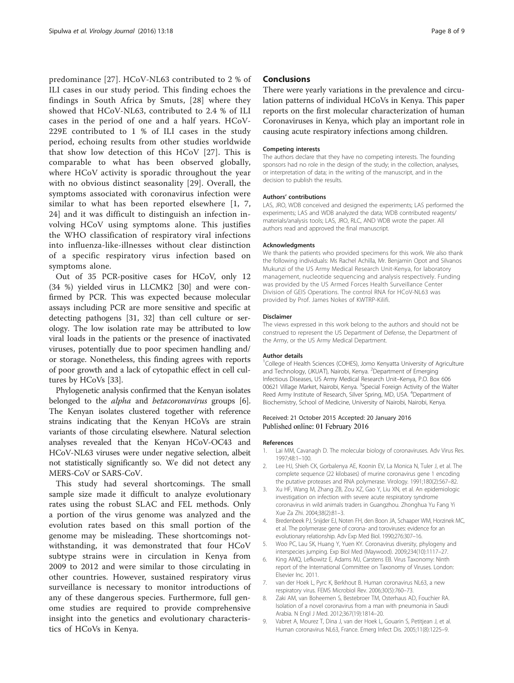<span id="page-7-0"></span>predominance [[27\]](#page-8-0). HCoV-NL63 contributed to 2 % of ILI cases in our study period. This finding echoes the findings in South Africa by Smuts, [\[28](#page-8-0)] where they showed that HCoV-NL63, contributed to 2.4 % of ILI cases in the period of one and a half years. HCoV-229E contributed to 1 % of ILI cases in the study period, echoing results from other studies worldwide that show low detection of this HCoV [\[27](#page-8-0)]. This is comparable to what has been observed globally, where HCoV activity is sporadic throughout the year with no obvious distinct seasonality [[29](#page-8-0)]. Overall, the symptoms associated with coronavirus infection were similar to what has been reported elsewhere [1, 7, [24\]](#page-8-0) and it was difficult to distinguish an infection involving HCoV using symptoms alone. This justifies the WHO classification of respiratory viral infections into influenza-like-illnesses without clear distinction of a specific respiratory virus infection based on symptoms alone.

Out of 35 PCR-positive cases for HCoV, only 12 (34 %) yielded virus in LLCMK2 [[30\]](#page-8-0) and were confirmed by PCR. This was expected because molecular assays including PCR are more sensitive and specific at detecting pathogens [\[31](#page-8-0), [32](#page-8-0)] than cell culture or serology. The low isolation rate may be attributed to low viral loads in the patients or the presence of inactivated viruses, potentially due to poor specimen handling and/ or storage. Nonetheless, this finding agrees with reports of poor growth and a lack of cytopathic effect in cell cultures by HCoVs [[33](#page-8-0)].

Phylogenetic analysis confirmed that the Kenyan isolates belonged to the *alpha* and *betacoronavirus* groups [6]. The Kenyan isolates clustered together with reference strains indicating that the Kenyan HCoVs are strain variants of those circulating elsewhere. Natural selection analyses revealed that the Kenyan HCoV-OC43 and HCoV-NL63 viruses were under negative selection, albeit not statistically significantly so. We did not detect any MERS-CoV or SARS-CoV.

This study had several shortcomings. The small sample size made it difficult to analyze evolutionary rates using the robust SLAC and FEL methods. Only a portion of the virus genome was analyzed and the evolution rates based on this small portion of the genome may be misleading. These shortcomings notwithstanding, it was demonstrated that four HCoV subtype strains were in circulation in Kenya from 2009 to 2012 and were similar to those circulating in other countries. However, sustained respiratory virus surveillance is necessary to monitor introductions of any of these dangerous species. Furthermore, full genome studies are required to provide comprehensive insight into the genetics and evolutionary characteristics of HCoVs in Kenya.

## **Conclusions**

There were yearly variations in the prevalence and circulation patterns of individual HCoVs in Kenya. This paper reports on the first molecular characterization of human Coronaviruses in Kenya, which play an important role in causing acute respiratory infections among children.

#### Competing interests

The authors declare that they have no competing interests. The founding sponsors had no role in the design of the study; in the collection, analyses, or interpretation of data; in the writing of the manuscript, and in the decision to publish the results.

#### Authors' contributions

LAS, JRO, WDB conceived and designed the experiments; LAS performed the experiments; LAS and WDB analyzed the data; WDB contributed reagents/ materials/analysis tools; LAS, JRO, RLC, AND WDB wrote the paper. All authors read and approved the final manuscript.

#### Acknowledgments

We thank the patients who provided specimens for this work. We also thank the following individuals: Ms Rachel Achilla, Mr. Benjamin Opot and Silvanos Mukunzi of the US Army Medical Research Unit-Kenya, for laboratory management, nucleotide sequencing and analysis respectively. Funding was provided by the US Armed Forces Health Surveillance Center Division of GEIS Operations. The control RNA for HCoV-NL63 was provided by Prof. James Nokes of KWTRP-Kilifi.

#### Disclaimer

The views expressed in this work belong to the authors and should not be construed to represent the US Department of Defense, the Department of the Army, or the US Army Medical Department.

#### Author details

<sup>1</sup>College of Health Sciences (COHES), Jomo Kenyatta University of Agriculture and Technology, (JKUAT), Nairobi, Kenya. <sup>2</sup>Department of Emerging Infectious Diseases, US Army Medical Research Unit–Kenya, P.O. Box 606 00621 Village Market, Nairobi, Kenya. <sup>3</sup>Special Foreign Activity of the Walter Reed Army Institute of Research, Silver Spring, MD, USA. <sup>4</sup>Department of Biochemistry, School of Medicine, University of Nairobi, Nairobi, Kenya.

### Received: 21 October 2015 Accepted: 20 January 2016 Published online: 01 February 2016

#### References

- 1. Lai MM, Cavanagh D. The molecular biology of coronaviruses. Adv Virus Res. 1997;48:1–100.
- 2. Lee HJ, Shieh CK, Gorbalenya AE, Koonin EV, La Monica N, Tuler J, et al. The complete sequence (22 kilobases) of murine coronavirus gene 1 encoding the putative proteases and RNA polymerase. Virology. 1991;180(2):567–82.
- 3. Xu HF, Wang M, Zhang ZB, Zou XZ, Gao Y, Liu XN, et al. An epidemiologic investigation on infection with severe acute respiratory syndrome coronavirus in wild animals traders in Guangzhou. Zhonghua Yu Fang Yi Xue Za Zhi. 2004;38(2):81–3.
- 4. Bredenbeek PJ, Snijder EJ, Noten FH, den Boon JA, Schaaper WM, Horzinek MC, et al. The polymerase gene of corona- and toroviruses: evidence for an evolutionary relationship. Adv Exp Med Biol. 1990;276:307–16.
- 5. Woo PC, Lau SK, Huang Y, Yuen KY. Coronavirus diversity, phylogeny and interspecies jumping. Exp Biol Med (Maywood). 2009;234(10):1117–27.
- King AMQ, Lefkowitz E, Adams MJ, Carstens EB. Virus Taxonomy: Ninth report of the International Committee on Taxonomy of Viruses. London: Elsevier Inc. 2011.
- 7. van der Hoek L, Pyrc K, Berkhout B. Human coronavirus NL63, a new respiratory virus. FEMS Microbiol Rev. 2006;30(5):760–73.
- 8. Zaki AM, van Boheemen S, Bestebroer TM, Osterhaus AD, Fouchier RA. Isolation of a novel coronavirus from a man with pneumonia in Saudi Arabia. N Engl J Med. 2012;367(19):1814–20.
- 9. Vabret A, Mourez T, Dina J, van der Hoek L, Gouarin S, Petitjean J, et al. Human coronavirus NL63, France. Emerg Infect Dis. 2005;11(8):1225–9.